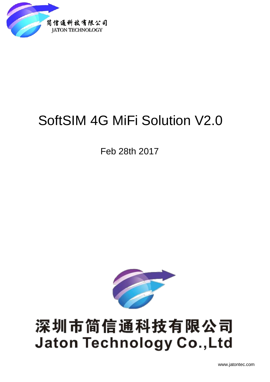

# SoftSIM 4G MiFi Solution V2.0

Feb 28th 2017



# 深圳市简信通科技有限公司 **Jaton Technology Co., Ltd**

www.jatontec.com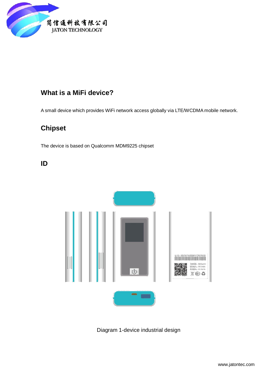

## **What is a MiFi device?**

A small device which provides WiFi network access globally via LTE/WCDMA mobile network.

## **Chipset**

The device is based on Qualcomm MDM9225 chipset

**ID**



Diagram 1-device industrial design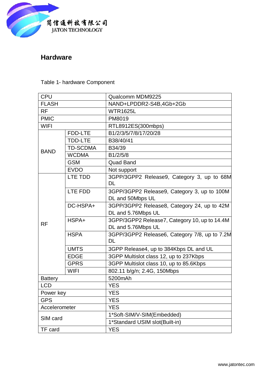

### **Hardware**

#### Table 1- hardware Component

| Qualcomm MDM9225<br>NAND+LPDDR2-S4B,4Gb+2Gb<br><b>WTR1625L</b><br>PM8019<br>RTL8912ES(300mbps) |
|------------------------------------------------------------------------------------------------|
|                                                                                                |
|                                                                                                |
|                                                                                                |
|                                                                                                |
|                                                                                                |
| B1/2/3/5/7/8/17/20/28                                                                          |
| B38/40/41                                                                                      |
| B34/39                                                                                         |
| B1/2/5/8                                                                                       |
| <b>Quad Band</b>                                                                               |
| Not support                                                                                    |
| 3GPP/3GPP2 Release9, Category 3, up to 68M                                                     |
| 3GPP/3GPP2 Release9, Category 3, up to 100M<br>DL and 50Mbps UL                                |
| 3GPP/3GPP2 Release8, Category 24, up to 42M<br>DL and 5.76Mbps UL                              |
| 3GPP/3GPP2 Release7, Category 10, up to 14.4M                                                  |
| DL and 5.76Mbps UL                                                                             |
| 3GPP/3GPP2 Release6, Category 7/8, up to 7.2M                                                  |
| 3GPP Release4, up to 384Kbps DL and UL                                                         |
| 3GPP Multislot class 12, up to 237Kbps                                                         |
| 3GPP Multislot class 10, up to 85.6Kbps                                                        |
| 802.11 b/g/n; 2.4G, 150Mbps                                                                    |
| 5200mAh                                                                                        |
|                                                                                                |
|                                                                                                |
|                                                                                                |
|                                                                                                |
| 1*Soft-SIM/V-SIM(Embedded)                                                                     |
| 1*Standard USIM slot(Built-in)                                                                 |
|                                                                                                |
|                                                                                                |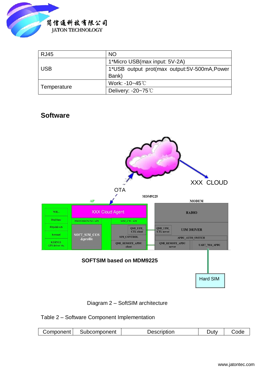

| <b>RJ45</b> | <b>NO</b>                                    |
|-------------|----------------------------------------------|
|             | 1*Micro USB(max input: 5V-2A)                |
| <b>USB</b>  | 1*USB output prot(max output:5V-500mA, Power |
|             | Bank)                                        |
| Temperature | Work: -10~45°C                               |
|             | Delivery: $-20-75^{\circ}$ C                 |

#### **Software**

 $\overline{\mathsf{I}}$ 





Table 2 – Software Component Implementation

| Component<br>.<br>∘onent<br>.<br>.<br>ντιοι<br>11 H<br>- - |  |
|------------------------------------------------------------|--|
|------------------------------------------------------------|--|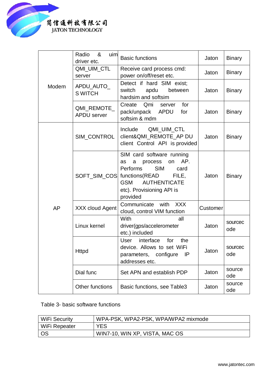

|       | Radio<br>&<br>uim<br>driver etc.  | <b>Basic functions</b>                                                                                                                                                                                               | Jaton    | <b>Binary</b>  |
|-------|-----------------------------------|----------------------------------------------------------------------------------------------------------------------------------------------------------------------------------------------------------------------|----------|----------------|
| Modem | QMI_UIM_CTL<br>server             | Receive card process cmd:<br>power on/off/reset etc.                                                                                                                                                                 | Jaton    | <b>Binary</b>  |
|       | APDU_AUTO_<br><b>SWITCH</b>       | Detect if hard SIM exist;<br>switch<br>apdu<br>between<br>hardsim and softsim                                                                                                                                        | Jaton    | <b>Binary</b>  |
|       | QMI_REMOTE_<br><b>APDU</b> server | Create<br>Qmi<br>for<br>server<br>pack/unpack APDU<br>for<br>softsim & mdm                                                                                                                                           | Jaton    | <b>Binary</b>  |
| AP    | SIM_CONTROL                       | Include<br>QMI_UIM_CTL<br>client&QMI_REMOTE_AP DU<br>client Control API is provided                                                                                                                                  | Jaton    | <b>Binary</b>  |
|       |                                   | SIM card software running<br>AP.<br>a<br>process<br>on<br>as<br><b>SIM</b><br>Performs<br>card<br>SOFT_SIM_COS functions(READ<br>FILE.<br><b>GSM</b><br><b>AUTHENTICATE</b><br>etc). Provisioning API is<br>provided | Jaton    | <b>Binary</b>  |
|       | <b>XXX cloud Agent</b>            | Communicate<br>with<br><b>XXX</b><br>cloud, control VIM function                                                                                                                                                     | Customer |                |
|       | Linux kernel                      | With<br>all<br>driver(gps/accelerometer<br>etc.) included                                                                                                                                                            | Jaton    | sourcec<br>ode |
|       | <b>Httpd</b>                      | User<br>interface<br>for<br>the<br>device. Allows to set WiFi<br>parameters, configure<br>- IP<br>addresses etc.                                                                                                     | Jaton    | sourcec<br>ode |
|       | Dial func                         | Set APN and establish PDP                                                                                                                                                                                            | Jaton    | source<br>ode  |
|       | Other functions                   | Basic functions, see Table3                                                                                                                                                                                          | Jaton    | source<br>ode  |

Table 3- basic software functions

| WiFi Security | WPA-PSK, WPA2-PSK, WPA/WPA2 mixmode |
|---------------|-------------------------------------|
| WiFi Repeater | <b>YES</b>                          |
| - OS          | WIN7-10, WIN XP, VISTA, MAC OS      |